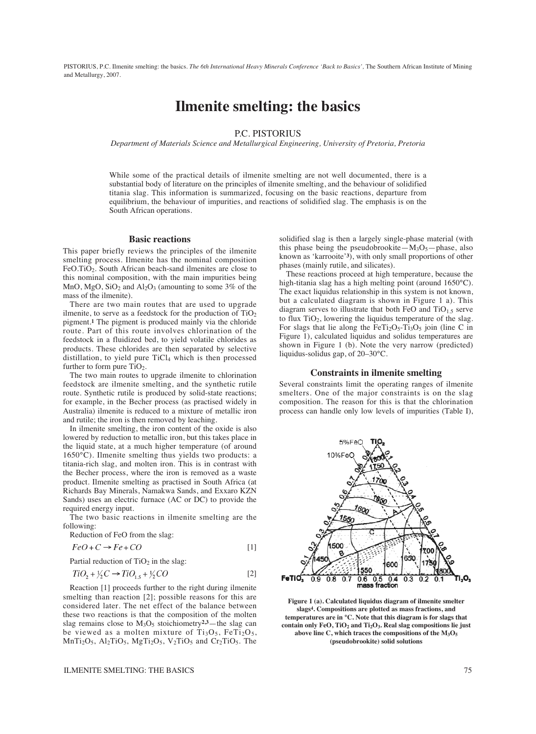PISTORIUS, P.C. Ilmenite smelting: the basics. *The 6th International Heavy Minerals Conference 'Back to Basics',* The Southern African Institute of Mining and Metallurgy, 2007.

# **Ilmenite smelting: the basics**

# P.C. PISTORIUS

*Department of Materials Science and Metallurgical Engineering, University of Pretoria, Pretoria*

While some of the practical details of ilmenite smelting are not well documented, there is a substantial body of literature on the principles of ilmenite smelting, and the behaviour of solidified titania slag. This information is summarized, focusing on the basic reactions, departure from equilibrium, the behaviour of impurities, and reactions of solidified slag. The emphasis is on the South African operations.

[1]

## **Basic reactions**

This paper briefly reviews the principles of the ilmenite smelting process. Ilmenite has the nominal composition FeO.TiO2. South African beach-sand ilmenites are close to this nominal composition, with the main impurities being MnO,  $MgO$ ,  $SiO<sub>2</sub>$  and  $Al<sub>2</sub>O<sub>3</sub>$  (amounting to some 3% of the mass of the ilmenite).

There are two main routes that are used to upgrade ilmenite, to serve as a feedstock for the production of  $TiO<sub>2</sub>$ pigment.**1** The pigment is produced mainly via the chloride route. Part of this route involves chlorination of the feedstock in a fluidized bed, to yield volatile chlorides as products. These chlorides are then separated by selective distillation, to yield pure TiCl<sub>4</sub> which is then processed further to form pure TiO<sub>2</sub>.

The two main routes to upgrade ilmenite to chlorination feedstock are ilmenite smelting, and the synthetic rutile route. Synthetic rutile is produced by solid-state reactions; for example, in the Becher process (as practised widely in Australia) ilmenite is reduced to a mixture of metallic iron and rutile; the iron is then removed by leaching.

In ilmenite smelting, the iron content of the oxide is also lowered by reduction to metallic iron, but this takes place in the liquid state, at a much higher temperature (of around 1650°C). Ilmenite smelting thus yields two products: a titania-rich slag, and molten iron. This is in contrast with the Becher process, where the iron is removed as a waste product. Ilmenite smelting as practised in South Africa (at Richards Bay Minerals, Namakwa Sands, and Exxaro KZN Sands) uses an electric furnace (AC or DC) to provide the required energy input.

The two basic reactions in ilmenite smelting are the following:

Reduction of FeO from the slag:\n
$$
F_{\alpha}G_{\alpha}G_{\alpha}F_{\alpha}G_{\alpha}G_{\alpha}
$$

$$
FeO + C \rightarrow Fe + CO
$$

Partial reduction of  $TiO<sub>2</sub>$  in the slag:

$$
TiO2 + \frac{1}{2}C \rightarrow TiO1.5 + \frac{1}{2}CO
$$
 [2]

Reaction [1] proceeds further to the right during ilmenite smelting than reaction [2]; possible reasons for this are considered later. The net effect of the balance between these two reactions is that the composition of the molten slag remains close to M<sub>3</sub>O<sub>5</sub> stoichiometry<sup>2,3</sup>—the slag can be viewed as a molten mixture of  $Ti<sub>3</sub>O<sub>5</sub>$ , FeTi<sub>2</sub>O<sub>5</sub>,  $MnTi<sub>2</sub>O<sub>5</sub>$ ,  $Al<sub>2</sub>TiO<sub>5</sub>$ ,  $MgTi<sub>2</sub>O<sub>5</sub>$ ,  $V<sub>2</sub>TiO<sub>5</sub>$  and  $Cr<sub>2</sub>TiO<sub>5</sub>$ . The

ILMENITE SMELTING: THE BASICS 75

solidified slag is then a largely single-phase material (with this phase being the pseudobrookite— $M_3O_5$ —phase, also known as 'karrooite'**3**), with only small proportions of other phases (mainly rutile, and silicates).

These reactions proceed at high temperature, because the high-titania slag has a high melting point (around 1650°C). The exact liquidus relationship in this system is not known, but a calculated diagram is shown in Figure 1 a). This diagram serves to illustrate that both FeO and  $TiO<sub>1.5</sub>$  serve to flux  $TiO<sub>2</sub>$ , lowering the liquidus temperature of the slag. For slags that lie along the FeTi<sub>2</sub>O<sub>5</sub>-Ti<sub>3</sub>O<sub>5</sub> join (line C in Figure 1), calculated liquidus and solidus temperatures are shown in Figure 1 (b). Note the very narrow (predicted) liquidus-solidus gap, of 20–30°C.

### **Constraints in ilmenite smelting**

Several constraints limit the operating ranges of ilmenite smelters. One of the major constraints is on the slag composition. The reason for this is that the chlorination process can handle only low levels of impurities (Table I),



**Figure 1 (a). Calculated liquidus diagram of ilmenite smelter slags4. Compositions are plotted as mass fractions, and temperatures are in °C. Note that this diagram is for slags that contain only FeO, TiO2 and Ti2O3. Real slag compositions lie just above line C, which traces the compositions of the M3O5 (pseudobrookite) solid solutions**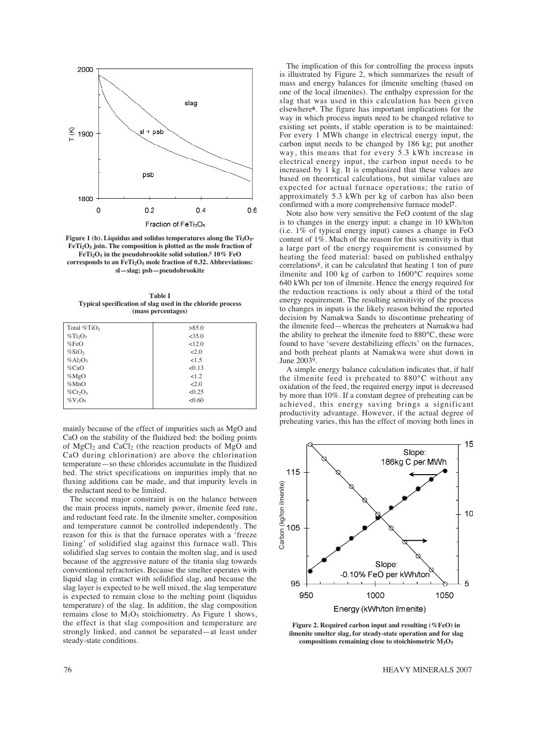

Figure 1 (b). Liquidus and solidus temperatures along the Ti<sub>3</sub>O<sub>5</sub>-**FeTi2O5 join. The composition is plotted as the mole fraction of FeTi2O5 in the pseudobrookite solid solution.5 10% FeO** corresponds to an FeTi<sub>2</sub>O<sub>5</sub> mole fraction of 0.32. Abbreviations: **sl—slag; psb—pseudobrookite**

**Table I Typical specification of slag used in the chloride process (mass percentages)**

| Total %TiO                          | >85.0    |
|-------------------------------------|----------|
| $\%$ Ti <sub>2</sub> O <sub>3</sub> | $<$ 35.0 |
| %FeO                                | 12.0     |
| $\%$ SiO <sub>2</sub>               | 2.0      |
| $%Al_2O_3$                          | < 1.5    |
| $\%$ CaO                            | < 0.13   |
| %MgO                                | 1.2      |
| $\%$ MnO                            | 2.0      |
| $\%$ Cr <sub>2</sub> O <sub>3</sub> | < 0.25   |
| $\%$ V <sub>2</sub> O <sub>5</sub>  | < 0.60   |
|                                     |          |

mainly because of the effect of impurities such as MgO and CaO on the stability of the fluidized bed: the boiling points of  $MgCl<sub>2</sub>$  and CaCl<sub>2</sub> (the reaction products of MgO and CaO during chlorination) are above the chlorination temperature—so these chlorides accumulate in the fluidized bed. The strict specifications on impurities imply that no fluxing additions can be made, and that impurity levels in the reductant need to be limited.

The second major constraint is on the balance between the main process inputs, namely power, ilmenite feed rate, and reductant feed rate. In the ilmenite smelter, composition and temperature cannot be controlled independently. The reason for this is that the furnace operates with a 'freeze lining' of solidified slag against this furnace wall. This solidified slag serves to contain the molten slag, and is used because of the aggressive nature of the titania slag towards conventional refractories. Because the smelter operates with liquid slag in contact with solidified slag, and because the slag layer is expected to be well mixed, the slag temperature is expected to remain close to the melting point (liquidus temperature) of the slag. In addition, the slag composition remains close to  $M_3O_5$  stoichiometry. As Figure 1 shows, the effect is that slag composition and temperature are strongly linked, and cannot be separated—at least under steady-state conditions.

The implication of this for controlling the process inputs is illustrated by Figure 2, which summarizes the result of mass and energy balances for ilmenite smelting (based on one of the local ilmenites). The enthalpy expression for the slag that was used in this calculation has been given elsewhere**6**. The figure has important implications for the way in which process inputs need to be changed relative to existing set points, if stable operation is to be maintained: For every 1 MWh change in electrical energy input, the carbon input needs to be changed by 186 kg; put another way, this means that for every 5.3 kWh increase in electrical energy input, the carbon input needs to be increased by 1 kg. It is emphasized that these values are based on theoretical calculations, but similar values are expected for actual furnace operations; the ratio of approximately 5.3 kWh per kg of carbon has also been confirmed with a more comprehensive furnace model**7**.

Note also how very sensitive the FeO content of the slag is to changes in the energy input: a change in 10 kWh/ton (i.e. 1% of typical energy input) causes a change in FeO content of 1%. Much of the reason for this sensitivity is that a large part of the energy requirement is consumed by heating the feed material: based on published enthalpy correlations8, it can be calculated that heating 1 ton of pure ilmenite and 100 kg of carbon to 1600°C requires some 640 kWh per ton of ilmenite. Hence the energy required for the reduction reactions is only about a third of the total energy requirement. The resulting sensitivity of the process to changes in inputs is the likely reason behind the reported decision by Namakwa Sands to discontinue preheating of the ilmenite feed—whereas the preheaters at Namakwa had the ability to preheat the ilmenite feed to 880°C, these were found to have 'severe destabilizing effects' on the furnaces, and both preheat plants at Namakwa were shut down in June 20039.

A simple energy balance calculation indicates that, if half the ilmenite feed is preheated to 880°C without any oxidation of the feed, the required energy input is decreased by more than 10%. If a constant degree of preheating can be achieved, this energy saving brings a significant productivity advantage. However, if the actual degree of preheating varies, this has the effect of moving both lines in



**Figure 2. Required carbon input and resulting (%FeO) in ilmenite smelter slag, for steady-state operation and for slag compositions remaining close to stoichiometric M3O5**

76 HEAVY MINERALS 2007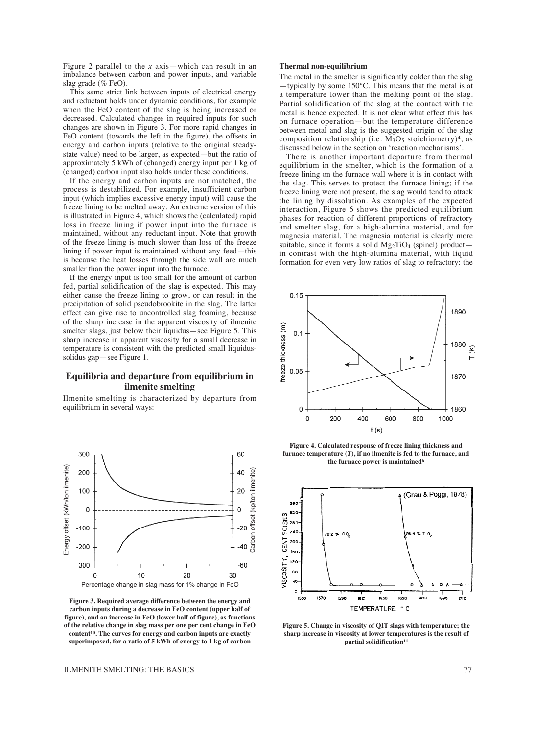Figure 2 parallel to the *x* axis—which can result in an imbalance between carbon and power inputs, and variable slag grade (% FeO).

This same strict link between inputs of electrical energy and reductant holds under dynamic conditions, for example when the FeO content of the slag is being increased or decreased. Calculated changes in required inputs for such changes are shown in Figure 3. For more rapid changes in FeO content (towards the left in the figure), the offsets in energy and carbon inputs (relative to the original steadystate value) need to be larger, as expected—but the ratio of approximately 5 kWh of (changed) energy input per 1 kg of (changed) carbon input also holds under these conditions.

If the energy and carbon inputs are not matched, the process is destabilized. For example, insufficient carbon input (which implies excessive energy input) will cause the freeze lining to be melted away. An extreme version of this is illustrated in Figure 4, which shows the (calculated) rapid loss in freeze lining if power input into the furnace is maintained, without any reductant input. Note that growth of the freeze lining is much slower than loss of the freeze lining if power input is maintained without any feed—this is because the heat losses through the side wall are much smaller than the power input into the furnace.

If the energy input is too small for the amount of carbon fed, partial solidification of the slag is expected. This may either cause the freeze lining to grow, or can result in the precipitation of solid pseudobrookite in the slag. The latter effect can give rise to uncontrolled slag foaming, because of the sharp increase in the apparent viscosity of ilmenite smelter slags, just below their liquidus—see Figure 5. This sharp increase in apparent viscosity for a small decrease in temperature is consistent with the predicted small liquidussolidus gap—see Figure 1.

# **Equilibria and departure from equilibrium in ilmenite smelting**

Ilmenite smelting is characterized by departure from equilibrium in several ways:



**Figure 3. Required average difference between the energy and carbon inputs during a decrease in FeO content (upper half of figure), and an increase in FeO (lower half of figure), as functions of the relative change in slag mass per one per cent change in FeO content10. The curves for energy and carbon inputs are exactly superimposed, for a ratio of 5 kWh of energy to 1 kg of carbon**

### **Thermal non-equilibrium**

The metal in the smelter is significantly colder than the slag —typically by some 150°C. This means that the metal is at a temperature lower than the melting point of the slag. Partial solidification of the slag at the contact with the metal is hence expected. It is not clear what effect this has on furnace operation—but the temperature difference between metal and slag is the suggested origin of the slag composition relationship (i.e.  $M_3O_5$  stoichiometry)<sup>4</sup>, as discussed below in the section on 'reaction mechanisms'.

There is another important departure from thermal equilibrium in the smelter, which is the formation of a freeze lining on the furnace wall where it is in contact with the slag. This serves to protect the furnace lining; if the freeze lining were not present, the slag would tend to attack the lining by dissolution. As examples of the expected interaction, Figure 6 shows the predicted equilibrium phases for reaction of different proportions of refractory and smelter slag, for a high-alumina material, and for magnesia material. The magnesia material is clearly more suitable, since it forms a solid  $Mg_2TiO_4$  (spinel) product in contrast with the high-alumina material, with liquid formation for even very low ratios of slag to refractory: the



**Figure 4. Calculated response of freeze lining thickness and furnace temperature (***T***), if no ilmenite is fed to the furnace, and the furnace power is maintained6**



**Figure 5. Change in viscosity of QIT slags with temperature; the sharp increase in viscosity at lower temperatures is the result of partial solidification11**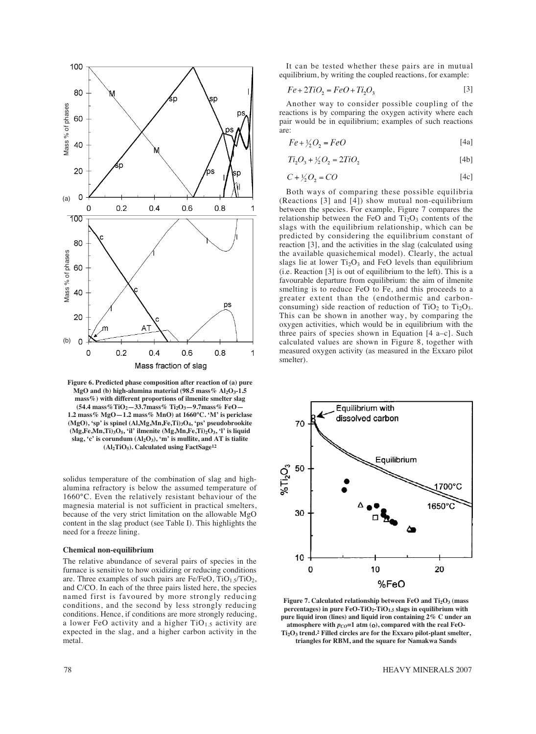

**Figure 6. Predicted phase composition after reaction of (a) pure MgO and (b) high-alumina material (98.5 mass% Al2O3-1.5 mass%) with different proportions of ilmenite smelter slag (54.4 mass%TiO2—33.7mass% Ti2O3—9.7mass% FeO— 1.2 mass% MgO—1.2 mass% MnO) at 1660°C. 'M' is periclase (MgO), 'sp' is spinel (Al,Mg,Mn,Fe,Ti)3O4, 'ps' pseudobrookite (Mg,Fe,Mn,Ti)3O5, 'il' ilmenite (Mg,Mn,Fe,Ti)2O3, 'l' is liquid** slag, 'c' is corundum  $(Al_2O_3)$ , 'm' is mullite, and AT is tialite **(Al2TiO5). Calculated using FactSage12**

solidus temperature of the combination of slag and highalumina refractory is below the assumed temperature of 1660°C. Even the relatively resistant behaviour of the magnesia material is not sufficient in practical smelters, because of the very strict limitation on the allowable MgO content in the slag product (see Table I). This highlights the need for a freeze lining.

## **Chemical non-equilibrium**

The relative abundance of several pairs of species in the furnace is sensitive to how oxidizing or reducing conditions are. Three examples of such pairs are Fe/FeO,  $TiO<sub>1.5</sub>/TiO<sub>2</sub>$ , and C/CO. In each of the three pairs listed here, the species named first is favoured by more strongly reducing conditions, and the second by less strongly reducing conditions. Hence, if conditions are more strongly reducing, a lower FeO activity and a higher  $TiO<sub>1.5</sub>$  activity are expected in the slag, and a higher carbon activity in the metal.

It can be tested whether these pairs are in mutual equilibrium, by writing the coupled reactions, for example:

$$
Fe + 2TiO_2 = FeO + Ti_2O_3 \tag{3}
$$

Another way to consider possible coupling of the reactions is by comparing the oxygen activity where each pair would be in equilibrium; examples of such reactions are:

$$
Fe + \frac{1}{2}O_2 = FeO \tag{4a}
$$

$$
Ti_2O_3 + \frac{1}{2}O_2 = 2TiO_2 \tag{4b}
$$

$$
C + \frac{1}{2}O_2 = CO \tag{4c}
$$

Both ways of comparing these possible equilibria (Reactions [3] and [4]) show mutual non-equilibrium between the species. For example, Figure 7 compares the relationship between the FeO and  $Ti<sub>2</sub>O<sub>3</sub>$  contents of the slags with the equilibrium relationship, which can be predicted by considering the equilibrium constant of reaction [3], and the activities in the slag (calculated using the available quasichemical model). Clearly, the actual slags lie at lower  $Ti<sub>2</sub>O<sub>3</sub>$  and FeO levels than equilibrium (i.e. Reaction [3] is out of equilibrium to the left). This is a favourable departure from equilibrium: the aim of ilmenite smelting is to reduce FeO to Fe, and this proceeds to a greater extent than the (endothermic and carbonconsuming) side reaction of reduction of  $TiO<sub>2</sub>$  to  $Ti<sub>2</sub>O<sub>3</sub>$ . This can be shown in another way, by comparing the oxygen activities, which would be in equilibrium with the three pairs of species shown in Equation [4 a–c]. Such calculated values are shown in Figure 8, together with measured oxygen activity (as measured in the Exxaro pilot smelter).



**Figure 7. Calculated relationship between FeO and Ti2O3 (mass percentages) in pure FeO-TiO<sub>2</sub>-TiO<sub>1.5</sub> slags in equilibrium with pure liquid iron (lines) and liquid iron containing 2% C under an** atmosphere with  $p_{CO} = 1$  atm (o), compared with the real FeO-**Ti2O3 trend.2 Filled circles are for the Exxaro pilot-plant smelter,**

**triangles for RBM, and the square for Namakwa Sands**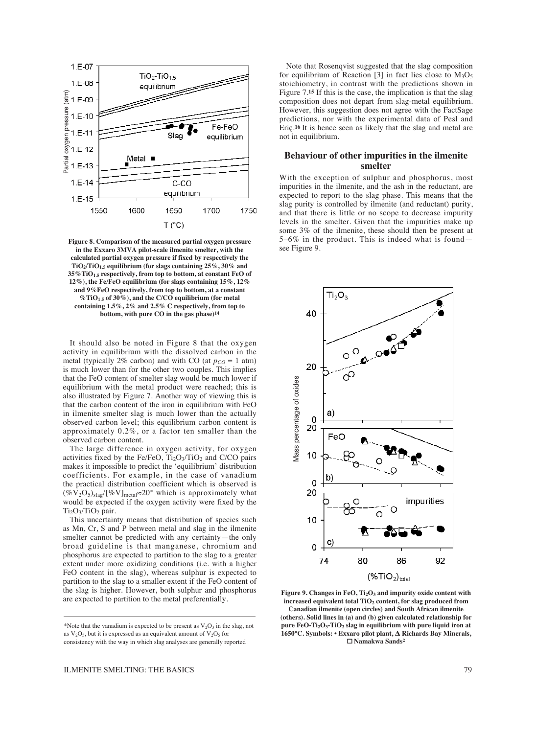

**Figure 8. Comparison of the measured partial oxygen pressure in the Exxaro 3MVA pilot-scale ilmenite smelter, with the calculated partial oxygen pressure if fixed by respectively the TiO2/TiO1.5 equilibrium (for slags containing 25%, 30% and 35%TiO1.5 respectively, from top to bottom, at constant FeO of 12%), the Fe/FeO equilibrium (for slags containing 15%, 12% and 9%FeO respectively, from top to bottom, at a constant %TiO1.5 of 30%), and the C/CO equilibrium (for metal containing 1.5%, 2% and 2.5% C respectively, from top to bottom, with pure CO in the gas phase)14**

It should also be noted in Figure 8 that the oxygen activity in equilibrium with the dissolved carbon in the metal (typically 2% carbon) and with CO (at  $p_{CO} = 1$  atm) is much lower than for the other two couples. This implies that the FeO content of smelter slag would be much lower if equilibrium with the metal product were reached; this is also illustrated by Figure 7. Another way of viewing this is that the carbon content of the iron in equilibrium with FeO in ilmenite smelter slag is much lower than the actually observed carbon level; this equilibrium carbon content is approximately 0.2%, or a factor ten smaller than the observed carbon content.

The large difference in oxygen activity, for oxygen activities fixed by the Fe/FeO,  $Ti<sub>2</sub>O<sub>3</sub>/TiO<sub>2</sub>$  and C/CO pairs makes it impossible to predict the 'equilibrium' distribution coefficients. For example, in the case of vanadium the practical distribution coefficient which is observed is (%V2O5)slag/[%V]metal≈20\* which is approximately what would be expected if the oxygen activity were fixed by the  $Ti<sub>2</sub>O<sub>3</sub>/TiO<sub>2</sub> pair.$ 

This uncertainty means that distribution of species such as Mn, Cr, S and P between metal and slag in the ilmenite smelter cannot be predicted with any certainty—the only broad guideline is that manganese, chromium and phosphorus are expected to partition to the slag to a greater extent under more oxidizing conditions (i.e. with a higher FeO content in the slag), whereas sulphur is expected to partition to the slag to a smaller extent if the FeO content of the slag is higher. However, both sulphur and phosphorus are expected to partition to the metal preferentially.

Note that Rosenqvist suggested that the slag composition for equilibrium of Reaction [3] in fact lies close to  $M_3O_5$ stoichiometry, in contrast with the predictions shown in Figure 7.**<sup>15</sup>** If this is the case, the implication is that the slag composition does not depart from slag-metal equilibrium. However, this suggestion does not agree with the FactSage predictions, nor with the experimental data of Pesl and Eriç.**16** It is hence seen as likely that the slag and metal are not in equilibrium.

## **Behaviour of other impurities in the ilmenite smelter**

With the exception of sulphur and phosphorus, most impurities in the ilmenite, and the ash in the reductant, are expected to report to the slag phase. This means that the slag purity is controlled by ilmenite (and reductant) purity, and that there is little or no scope to decrease impurity levels in the smelter. Given that the impurities make up some 3% of the ilmenite, these should then be present at 5–6% in the product. This is indeed what is found see Figure 9.



**Figure 9. Changes in FeO, Ti2O3 and impurity oxide content with increased equivalent total TiO2 content, for slag produced from Canadian ilmenite (open circles) and South African ilmenite (others). Solid lines in (a) and (b) given calculated relationship for pure FeO-Ti2O3-TiO2 slag in equilibrium with pure liquid iron at 1650°C. Symbols: • Exxaro pilot plant, Δ Richards Bay Minerals, Namakwa Sands2**

<sup>\*</sup>Note that the vanadium is expected to be present as  $V_2O_3$  in the slag, not as  $V_2O_5$ , but it is expressed as an equivalent amount of  $V_2O_5$  for consistency with the way in which slag analyses are generally reported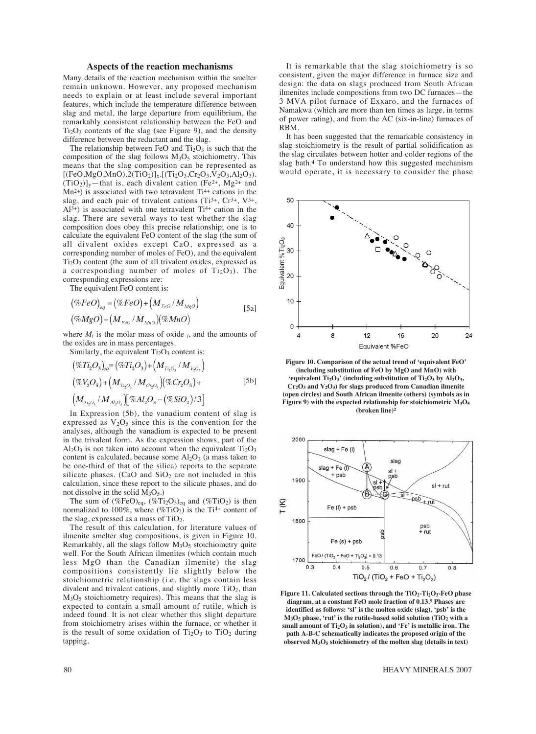## **Aspects of the reaction mechanisms**

Many details of the reaction mechanism within the smelter remain unknown. However, any proposed mechanism needs to explain or at least include several important features, which include the temperature difference between slag and metal, the large departure from equilibrium, the remarkably consistent relationship between the FeO and  $Ti<sub>2</sub>O<sub>3</sub>$  contents of the slag (see Figure 9), and the density difference between the reductant and the slag.

The relationship between FeO and  $Ti<sub>2</sub>O<sub>3</sub>$  is such that the composition of the slag follows  $M<sub>3</sub>O<sub>5</sub>$  stoichiometry. This means that the slag composition can be represented as  $[(FeO, MgO, MnO).2(TiO<sub>2</sub>)]<sub>x</sub>.[(Ti<sub>2</sub>O<sub>3</sub>,Cr<sub>2</sub>O<sub>3</sub>,N<sub>2</sub>O<sub>3</sub>,Al<sub>2</sub>O<sub>3</sub>).$  $(TiO_2)$ <sub>y</sub>—that is, each divalent cation (Fe<sup>2+</sup>, Mg<sup>2+</sup> and  $Mn^{2+}$ ) is associated with two tetravalent Ti<sup>4+</sup> cations in the slag, and each pair of trivalent cations  $(Ti^{3+}, Cr^{3+}, V^{3+},$  $Al^{3+}$ ) is associated with one tetravalent Ti<sup>4+</sup> cation in the slag. There are several ways to test whether the slag composition does obey this precise relationship; one is to calculate the equivalent FeO content of the slag (the sum of all divalent oxides except CaO, expressed as a corresponding number of moles of FeO), and the equivalent  $Ti<sub>2</sub>O<sub>3</sub>$  content (the sum of all trivalent oxides, expressed as a corresponding number of moles of  $Ti<sub>2</sub>O<sub>3</sub>$ ). The corresponding expressions are:

The equivalent FeO content is:

$$
(\%FeO)_{eq} = (\%FeO) + (M_{FeO}/M_{MgO})
$$
  

$$
(\%MgO) + (M_{FeO}/M_{MnO})(\%MnO)
$$
 [5a]

where  $M_i$  is the molar mass of oxide  $i$ , and the amounts of the oxides are in mass percentages.

Similarly, the equivalent  $Ti<sub>2</sub>O<sub>3</sub>$  content is:

$$
(\%Ti_2O_3)_{eq} = (\%Ti_2O_3) + (M_{Ti_2O_3} / M_{V_2O_5})
$$
  

$$
(\%V_2O_5) + (M_{Ti_2O_3} / M_{C_2O_3}) (\%Cr_2O_3) +
$$
  

$$
(M_{Ti_2O_3} / M_{Al_2O_3}) [\%Al_2O_3 - (\%SiO_2)/3]
$$
 [5b]

In Expression (5b), the vanadium content of slag is expressed as  $V_2O_5$  since this is the convention for the analyses, although the vanadium is expected to be present in the trivalent form. As the expression shows, part of the  $Al_2O_3$  is not taken into account when the equivalent  $Ti_2O_3$ content is calculated, because some  $Al_2O_3$  (a mass taken to be one-third of that of the silica) reports to the separate silicate phases. (CaO and  $SiO<sub>2</sub>$  are not included in this calculation, since these report to the silicate phases, and do not dissolve in the solid  $M_3O_5$ .

The sum of  $(\%FeO)_{eq}$ ,  $(\%Ti_2O_3)_{eq}$  and  $(\%TiO_2)$  is then normalized to 100%, where  $(\%$ TiO<sub>2</sub>) is the Ti<sup>4+</sup> content of the slag, expressed as a mass of  $TiO<sub>2</sub>$ .

The result of this calculation, for literature values of ilmenite smelter slag compositions, is given in Figure 10. Remarkably, all the slags follow  $M_3O_5$  stoichiometry quite well. For the South African ilmenites (which contain much less MgO than the Canadian ilmenite) the slag compositions consistently lie slightly below the stoichiometric relationship (i.e. the slags contain less divalent and trivalent cations, and slightly more  $TiO<sub>2</sub>$ , than M3O5 stoichiometry requires). This means that the slag is expected to contain a small amount of rutile, which is indeed found. It is not clear whether this slight departure from stoichiometry arises within the furnace, or whether it is the result of some oxidation of  $Ti<sub>2</sub>O<sub>3</sub>$  to  $TiO<sub>2</sub>$  during tapping.

It is remarkable that the slag stoichiometry is so consistent, given the major difference in furnace size and design: the data on slags produced from South African ilmenites include compositions from two DC furnaces—the 3 MVA pilot furnace of Exxaro, and the furnaces of Namakwa (which are more than ten times as large, in terms of power rating), and from the AC (six-in-line) furnaces of RBM.

It has been suggested that the remarkable consistency in slag stoichiometry is the result of partial solidification as the slag circulates between hotter and colder regions of the slag bath.**<sup>4</sup>** To understand how this suggested mechanism would operate, it is necessary to consider the phase



**Figure 10. Comparison of the actual trend of 'equivalent FeO' (including substitution of FeO by MgO and MnO) with 'equivalent Ti2O3' (including substitution of Ti2O3 by Al2O3, Cr2O3 and V2O3) for slags produced from Canadian ilmenite (open circles) and South African ilmenite (others) (symbols as in Figure 9) with the expected relationship for stoichiometric M3O5 (broken line)2**



Figure 11. Calculated sections through the TiO<sub>2</sub>-Ti<sub>2</sub>O<sub>3</sub>-FeO phase **diagram, at a constant FeO mole fraction of 0.13.5 Phases are identified as follows: 'sl' is the molten oxide (slag), 'psb' is the**  $M<sub>3</sub>O<sub>5</sub>$  phase, 'rut' is the rutile-based solid solution (TiO<sub>2</sub> with a small amount of Ti<sub>2</sub>O<sub>3</sub> in solution), and 'Fe' is metallic iron. The **path A-B-C schematically indicates the proposed origin of the**

80 HEAVY MINERALS 2007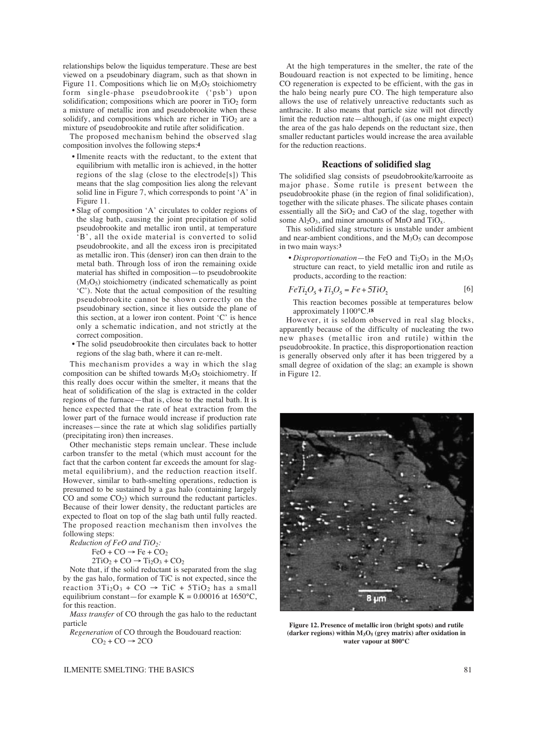relationships below the liquidus temperature. These are best viewed on a pseudobinary diagram, such as that shown in Figure 11. Compositions which lie on  $M<sub>3</sub>O<sub>5</sub>$  stoichiometry form single-phase pseudobrookite ('psb') upon solidification; compositions which are poorer in  $TiO<sub>2</sub>$  form a mixture of metallic iron and pseudobrookite when these solidify, and compositions which are richer in  $TiO<sub>2</sub>$  are a mixture of pseudobrookite and rutile after solidification.

The proposed mechanism behind the observed slag composition involves the following steps:**<sup>4</sup>**

- Ilmenite reacts with the reductant, to the extent that equilibrium with metallic iron is achieved, in the hotter regions of the slag (close to the electrode[s]) This means that the slag composition lies along the relevant solid line in Figure 7, which corresponds to point 'A' in Figure 11.
- Slag of composition 'A' circulates to colder regions of the slag bath, causing the joint precipitation of solid pseudobrookite and metallic iron until, at temperature 'B', all the oxide material is converted to solid pseudobrookite, and all the excess iron is precipitated as metallic iron. This (denser) iron can then drain to the metal bath. Through loss of iron the remaining oxide material has shifted in composition—to pseudobrookite  $(M<sub>3</sub>O<sub>5</sub>)$  stoichiometry (indicated schematically as point 'C'). Note that the actual composition of the resulting pseudobrookite cannot be shown correctly on the pseudobinary section, since it lies outside the plane of this section, at a lower iron content. Point 'C' is hence only a schematic indication, and not strictly at the correct composition.
- The solid pseudobrookite then circulates back to hotter regions of the slag bath, where it can re-melt.

This mechanism provides a way in which the slag composition can be shifted towards  $M<sub>3</sub>O<sub>5</sub>$  stoichiometry. If this really does occur within the smelter, it means that the heat of solidification of the slag is extracted in the colder regions of the furnace—that is, close to the metal bath. It is hence expected that the rate of heat extraction from the lower part of the furnace would increase if production rate increases—since the rate at which slag solidifies partially (precipitating iron) then increases.

Other mechanistic steps remain unclear. These include carbon transfer to the metal (which must account for the fact that the carbon content far exceeds the amount for slagmetal equilibrium), and the reduction reaction itself. However, similar to bath-smelting operations, reduction is presumed to be sustained by a gas halo (containing largely CO and some  $CO<sub>2</sub>$ ) which surround the reductant particles. Because of their lower density, the reductant particles are expected to float on top of the slag bath until fully reacted. The proposed reaction mechanism then involves the following steps:

*Reduction of FeO and TiO2:*

 $FeO + CO \rightarrow Fe + CO_2$ 

 $2TiO<sub>2</sub> + CO \rightarrow Ti<sub>2</sub>O<sub>3</sub> + CO<sub>2</sub>$ 

Note that, if the solid reductant is separated from the slag by the gas halo, formation of TiC is not expected, since the reaction  $3Ti<sub>2</sub>O<sub>3</sub> + CO \rightarrow TiC + 5TiO<sub>2</sub>$  has a small equilibrium constant—for example  $K = 0.00016$  at 1650°C, for this reaction.

*Mass transfer* of CO through the gas halo to the reductant particle

*Regeneration* of CO through the Boudouard reaction:  $CO<sub>2</sub> + CO \rightarrow 2CO$ 

At the high temperatures in the smelter, the rate of the Boudouard reaction is not expected to be limiting, hence CO regeneration is expected to be efficient, with the gas in the halo being nearly pure CO. The high temperature also allows the use of relatively unreactive reductants such as anthracite. It also means that particle size will not directly limit the reduction rate—although, if (as one might expect) the area of the gas halo depends on the reductant size, then smaller reductant particles would increase the area available for the reduction reactions.

### **Reactions of solidified slag**

The solidified slag consists of pseudobrookite/karrooite as major phase. Some rutile is present between the pseudobrookite phase (in the region of final solidification), together with the silicate phases. The silicate phases contain essentially all the  $SiO<sub>2</sub>$  and CaO of the slag, together with some  $Al_2O_3$ , and minor amounts of MnO and TiO<sub>x</sub>.

This solidified slag structure is unstable under ambient and near-ambient conditions, and the  $M<sub>3</sub>O<sub>5</sub>$  can decompose in two main ways:**<sup>3</sup>**

• *Disproportionation*—the FeO and  $Ti<sub>2</sub>O<sub>3</sub>$  in the  $M<sub>3</sub>O<sub>5</sub>$ structure can react, to yield metallic iron and rutile as products, according to the reaction:

$$
FeTi_2O_s + Ti_3O_s = Fe + 5TiO_s \tag{6}
$$

This reaction becomes possible at temperatures below approximately 1100°C.**<sup>18</sup>**

However, it is seldom observed in real slag blocks, apparently because of the difficulty of nucleating the two new phases (metallic iron and rutile) within the pseudobrookite. In practice, this disproportionation reaction is generally observed only after it has been triggered by a small degree of oxidation of the slag; an example is shown in Figure 12.



**Figure 12. Presence of metallic iron (bright spots) and rutile (darker regions) within M3O5 (grey matrix) after oxidation in water vapour at 800°C**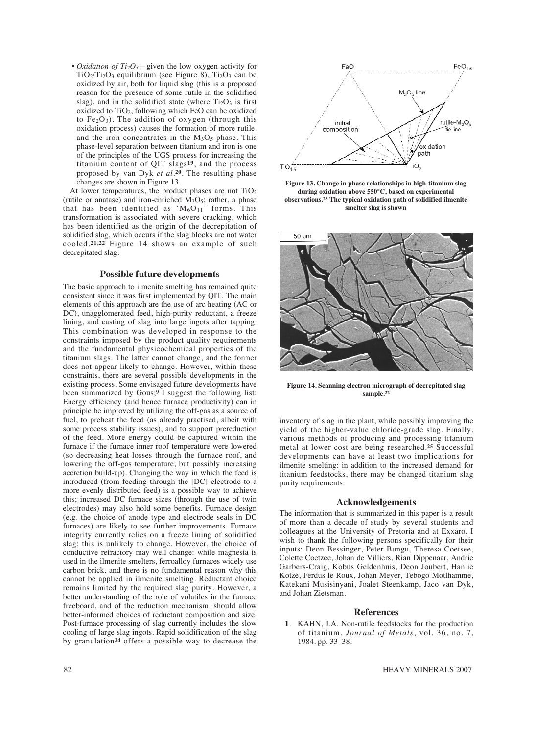• *Oxidation of Ti2O3*—given the low oxygen activity for  $TiO<sub>2</sub>/Ti<sub>2</sub>O<sub>3</sub>$  equilibrium (see Figure 8),  $Ti<sub>2</sub>O<sub>3</sub>$  can be oxidized by air, both for liquid slag (this is a proposed reason for the presence of some rutile in the solidified slag), and in the solidified state (where  $Ti<sub>2</sub>O<sub>3</sub>$  is first oxidized to  $TiO<sub>2</sub>$ , following which FeO can be oxidized to  $Fe<sub>2</sub>O<sub>3</sub>$ ). The addition of oxygen (through this oxidation process) causes the formation of more rutile, and the iron concentrates in the  $M<sub>3</sub>O<sub>5</sub>$  phase. This phase-level separation between titanium and iron is one of the principles of the UGS process for increasing the titanium content of QIT slags**19**, and the process proposed by van Dyk *et al.***20**. The resulting phase changes are shown in Figure 13.

At lower temperatures, the product phases are not  $TiO<sub>2</sub>$ (rutile or anatase) and iron-enriched  $M_3O_5$ ; rather, a phase that has been identified as ' $M_6O_{11}$ ' forms. This transformation is associated with severe cracking, which has been identified as the origin of the decrepitation of solidified slag, which occurs if the slag blocks are not water cooled.**21,22** Figure 14 shows an example of such decrepitated slag.

## **Possible future developments**

The basic approach to ilmenite smelting has remained quite consistent since it was first implemented by QIT. The main elements of this approach are the use of arc heating (AC or DC), unagglomerated feed, high-purity reductant, a freeze lining, and casting of slag into large ingots after tapping. This combination was developed in response to the constraints imposed by the product quality requirements and the fundamental physicochemical properties of the titanium slags. The latter cannot change, and the former does not appear likely to change. However, within these constraints, there are several possible developments in the existing process. Some envisaged future developments have been summarized by Gous;**<sup>9</sup>** I suggest the following list: Energy efficiency (and hence furnace productivity) can in principle be improved by utilizing the off-gas as a source of fuel, to preheat the feed (as already practised, albeit with some process stability issues), and to support prereduction of the feed. More energy could be captured within the furnace if the furnace inner roof temperature were lowered (so decreasing heat losses through the furnace roof, and lowering the off-gas temperature, but possibly increasing accretion build-up). Changing the way in which the feed is introduced (from feeding through the [DC] electrode to a more evenly distributed feed) is a possible way to achieve this; increased DC furnace sizes (through the use of twin electrodes) may also hold some benefits. Furnace design (e.g. the choice of anode type and electrode seals in DC furnaces) are likely to see further improvements. Furnace integrity currently relies on a freeze lining of solidified slag; this is unlikely to change. However, the choice of conductive refractory may well change: while magnesia is used in the ilmenite smelters, ferroalloy furnaces widely use carbon brick, and there is no fundamental reason why this cannot be applied in ilmenite smelting. Reductant choice remains limited by the required slag purity. However, a better understanding of the role of volatiles in the furnace freeboard, and of the reduction mechanism, should allow better-informed choices of reductant composition and size. Post-furnace processing of slag currently includes the slow cooling of large slag ingots. Rapid solidification of the slag by granulation**<sup>24</sup>** offers a possible way to decrease the



**Figure 13. Change in phase relationships in high-titanium slag during oxidation above 550°C, based on experimental observations.23 The typical oxidation path of solidified ilmenite smelter slag is shown**



**Figure 14. Scanning electron micrograph of decrepitated slag sample.22**

inventory of slag in the plant, while possibly improving the yield of the higher-value chloride-grade slag. Finally, various methods of producing and processing titanium metal at lower cost are being researched.**<sup>25</sup>** Successful developments can have at least two implications for ilmenite smelting: in addition to the increased demand for titanium feedstocks, there may be changed titanium slag purity requirements.

### **Acknowledgements**

The information that is summarized in this paper is a result of more than a decade of study by several students and colleagues at the University of Pretoria and at Exxaro. I wish to thank the following persons specifically for their inputs: Deon Bessinger, Peter Bungu, Theresa Coetsee, Colette Coetzee, Johan de Villiers, Rian Dippenaar, Andrie Garbers-Craig, Kobus Geldenhuis, Deon Joubert, Hanlie Kotzé, Ferdus le Roux, Johan Meyer, Tebogo Motlhamme, Katekani Musisinyani, Joalet Steenkamp, Jaco van Dyk, and Johan Zietsman.

## **References**

**1**. KAHN, J.A. Non-rutile feedstocks for the production of titanium. *Journal of Metals*, vol. 36, no. 7, 1984. pp. 33–38.